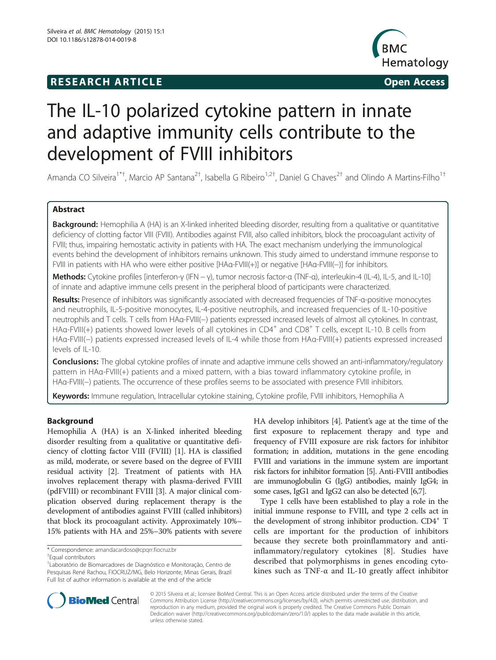## **RESEARCH ARTICLE Example 2014 CONSIDERING CONSIDERING CONSIDERING CONSIDERING CONSIDERING CONSIDERING CONSIDERING CONSIDERING CONSIDERING CONSIDERING CONSIDERING CONSIDERING CONSIDERING CONSIDERING CONSIDERING CONSIDE**



# The IL-10 polarized cytokine pattern in innate and adaptive immunity cells contribute to the development of FVIII inhibitors

Amanda CO Silveira<sup>1\*†</sup>, Marcio AP Santana<sup>2†</sup>, Isabella G Ribeiro<sup>1,2†</sup>, Daniel G Chaves<sup>2†</sup> and Olindo A Martins-Filho<sup>1†</sup>

## Abstract

Background: Hemophilia A (HA) is an X-linked inherited bleeding disorder, resulting from a qualitative or quantitative deficiency of clotting factor VIII (FVIII). Antibodies against FVIII, also called inhibitors, block the procoagulant activity of FVIII; thus, impairing hemostatic activity in patients with HA. The exact mechanism underlying the immunological events behind the development of inhibitors remains unknown. This study aimed to understand immune response to FVIII in patients with HA who were either positive [HAα-FVIII(+)] or negative [HAα-FVIII(−)] for inhibitors.

Methods: Cytokine profiles [interferon-γ (IFN − γ), tumor necrosis factor-α (TNF-α), interleukin-4 (IL-4), IL-5, and IL-10] of innate and adaptive immune cells present in the peripheral blood of participants were characterized.

Results: Presence of inhibitors was significantly associated with decreased frequencies of TNF-a-positive monocytes and neutrophils, IL-5-positive monocytes, IL-4-positive neutrophils, and increased frequencies of IL-10-positive neutrophils and T cells. T cells from HAα-FVIII(−) patients expressed increased levels of almost all cytokines. In contrast, HA $\alpha$ -FVIII(+) patients showed lower levels of all cytokines in CD4<sup>+</sup> and CD8<sup>+</sup> T cells, except IL-10. B cells from HAα-FVIII(−) patients expressed increased levels of IL-4 while those from HAα-FVIII(+) patients expressed increased levels of IL-10.

Conclusions: The global cytokine profiles of innate and adaptive immune cells showed an anti-inflammatory/regulatory pattern in HAα-FVIII(+) patients and a mixed pattern, with a bias toward inflammatory cytokine profile, in HAα-FVIII(−) patients. The occurrence of these profiles seems to be associated with presence FVIII inhibitors.

Keywords: Immune regulation, Intracellular cytokine staining, Cytokine profile, FVIII inhibitors, Hemophilia A

## Background

Hemophilia A (HA) is an X-linked inherited bleeding disorder resulting from a qualitative or quantitative deficiency of clotting factor VIII (FVIII) [[1\]](#page-6-0). HA is classified as mild, moderate, or severe based on the degree of FVIII residual activity [[2\]](#page-6-0). Treatment of patients with HA involves replacement therapy with plasma-derived FVIII (pdFVIII) or recombinant FVIII [\[3\]](#page-6-0). A major clinical complication observed during replacement therapy is the development of antibodies against FVIII (called inhibitors) that block its procoagulant activity. Approximately 10%– 15% patients with HA and 25%–30% patients with severe

HA develop inhibitors [\[4](#page-6-0)]. Patient's age at the time of the first exposure to replacement therapy and type and frequency of FVIII exposure are risk factors for inhibitor formation; in addition, mutations in the gene encoding FVIII and variations in the immune system are important risk factors for inhibitor formation [\[5\]](#page-6-0). Anti-FVIII antibodies are immunoglobulin G (IgG) antibodies, mainly IgG4; in some cases, IgG1 and IgG2 can also be detected [\[6,7](#page-6-0)].

Type 1 cells have been established to play a role in the initial immune response to FVIII, and type 2 cells act in the development of strong inhibitor production. CD4<sup>+</sup> T cells are important for the production of inhibitors because they secrete both proinflammatory and antiinflammatory/regulatory cytokines [[8](#page-6-0)]. Studies have described that polymorphisms in genes encoding cytokines such as TNF-α and IL-10 greatly affect inhibitor



© 2015 Silveira et al.; licensee BioMed Central. This is an Open Access article distributed under the terms of the Creative Commons Attribution License [\(http://creativecommons.org/licenses/by/4.0\)](http://creativecommons.org/licenses/by/4.0), which permits unrestricted use, distribution, and reproduction in any medium, provided the original work is properly credited. The Creative Commons Public Domain Dedication waiver [\(http://creativecommons.org/publicdomain/zero/1.0/](http://creativecommons.org/publicdomain/zero/1.0/)) applies to the data made available in this article, unless otherwise stated.

<sup>\*</sup> Correspondence: [amandacardoso@cpqrr.fiocruz.br](mailto:amandacardoso@cpqrr.fiocruz.br) †

Equal contributors

<sup>1</sup> Laboratório de Biomarcadores de Diagnóstico e Monitoração, Centro de Pesquisas René Rachou, FIOCRUZ/MG, Belo Horizonte, Minas Gerais, Brazil Full list of author information is available at the end of the article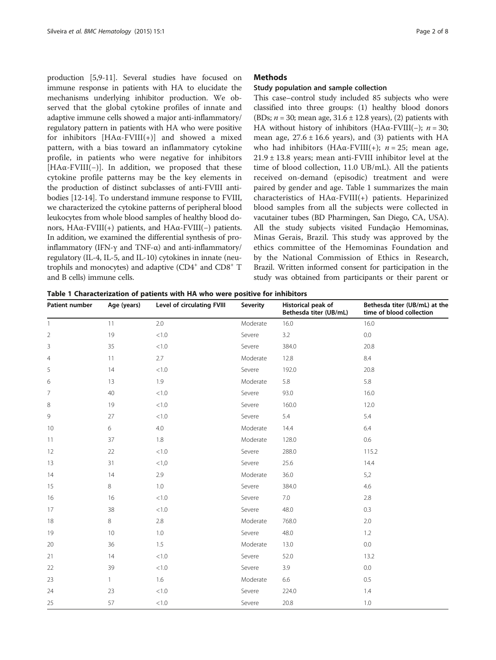production [\[5,9-11\]](#page-6-0). Several studies have focused on immune response in patients with HA to elucidate the mechanisms underlying inhibitor production. We observed that the global cytokine profiles of innate and adaptive immune cells showed a major anti-inflammatory/ regulatory pattern in patients with HA who were positive for inhibitors  $[HA\alpha$ -FVIII(+)] and showed a mixed pattern, with a bias toward an inflammatory cytokine profile, in patients who were negative for inhibitors [HAα-FVIII(−)]. In addition, we proposed that these cytokine profile patterns may be the key elements in the production of distinct subclasses of anti-FVIII antibodies [\[12](#page-6-0)[-14](#page-7-0)]. To understand immune response to FVIII, we characterized the cytokine patterns of peripheral blood leukocytes from whole blood samples of healthy blood donors, HAα-FVIII(+) patients, and HAα-FVIII(−) patients. In addition, we examined the differential synthesis of proinflammatory (IFN-γ and TNF-α) and anti-inflammatory/ regulatory (IL-4, IL-5, and IL-10) cytokines in innate (neutrophils and monocytes) and adaptive  $(CD4<sup>+</sup>$  and  $CD8<sup>+</sup>$  T and B cells) immune cells.

#### **Methods**

#### Study population and sample collection

This case–control study included 85 subjects who were classified into three groups: (1) healthy blood donors (BDs;  $n = 30$ ; mean age,  $31.6 \pm 12.8$  years), (2) patients with HA without history of inhibitors (HAα-FVIII(−);  $n = 30$ ; mean age,  $27.6 \pm 16.6$  years), and (3) patients with HA who had inhibitors (HA $\alpha$ -FVIII(+); *n* = 25; mean age, 21.9 ± 13.8 years; mean anti-FVIII inhibitor level at the time of blood collection, 11.0 UB/mL). All the patients received on-demand (episodic) treatment and were paired by gender and age. Table 1 summarizes the main characteristics of HAα-FVIII(+) patients. Heparinized blood samples from all the subjects were collected in vacutainer tubes (BD Pharmingen, San Diego, CA, USA). All the study subjects visited Fundação Hemominas, Minas Gerais, Brazil. This study was approved by the ethics committee of the Hemominas Foundation and by the National Commission of Ethics in Research, Brazil. Written informed consent for participation in the study was obtained from participants or their parent or

Table 1 Characterization of patients with HA who were positive for inhibitors

| Patient number | Age (years)  | Level of circulating FVIII | <b>Severity</b> | Historical peak of<br>Bethesda titer (UB/mL) | Bethesda titer (UB/mL) at the<br>time of blood collection |
|----------------|--------------|----------------------------|-----------------|----------------------------------------------|-----------------------------------------------------------|
| 1              | 11           | 2.0                        | Moderate        | 16.0                                         | 16.0                                                      |
| $\overline{2}$ | 19           | $<1.0\,$                   | Severe          | 3.2                                          | 0.0                                                       |
| 3              | 35           | < 1.0                      | Severe          | 384.0                                        | 20.8                                                      |
| $\overline{4}$ | 11           | 2.7                        | Moderate        | 12.8                                         | 8.4                                                       |
| 5              | 14           | < 1.0                      | Severe          | 192.0                                        | 20.8                                                      |
| 6              | 13           | 1.9                        | Moderate        | 5.8                                          | 5.8                                                       |
| 7              | 40           | $<1.0\,$                   | Severe          | 93.0                                         | 16.0                                                      |
| 8              | 19           | $<1.0$                     | Severe          | 160.0                                        | 12.0                                                      |
| 9              | 27           | $<\!1.0$                   | Severe          | 5.4                                          | 5.4                                                       |
| 10             | 6            | 4.0                        | Moderate        | 14.4                                         | 6.4                                                       |
| 11             | 37           | 1.8                        | Moderate        | 128.0                                        | 0.6                                                       |
| 12             | 22           | $<\!1.0$                   | Severe          | 288.0                                        | 115.2                                                     |
| 13             | 31           | < 1, 0                     | Severe          | 25.6                                         | 14.4                                                      |
| 14             | 14           | 2.9                        | Moderate        | 36.0                                         | 5,2                                                       |
| 15             | 8            | 1.0                        | Severe          | 384.0                                        | 4.6                                                       |
| 16             | 16           | $<\!1.0$                   | Severe          | 7.0                                          | 2.8                                                       |
| 17             | 38           | $<1.0\,$                   | Severe          | 48.0                                         | 0.3                                                       |
| 18             | 8            | 2.8                        | Moderate        | 768.0                                        | 2.0                                                       |
| 19             | 10           | 1.0                        | Severe          | 48.0                                         | 1.2                                                       |
| 20             | 36           | 1.5                        | Moderate        | 13.0                                         | 0.0                                                       |
| 21             | 14           | $<1.0$                     | Severe          | 52.0                                         | 13.2                                                      |
| 22             | 39           | < 1.0                      | Severe          | 3.9                                          | 0.0                                                       |
| 23             | $\mathbf{1}$ | 1.6                        | Moderate        | 6.6                                          | 0.5                                                       |
| 24             | 23           | < 1.0                      | Severe          | 224.0                                        | 1.4                                                       |
| 25             | 57           | $<1.0\,$                   | Severe          | 20.8                                         | 1.0                                                       |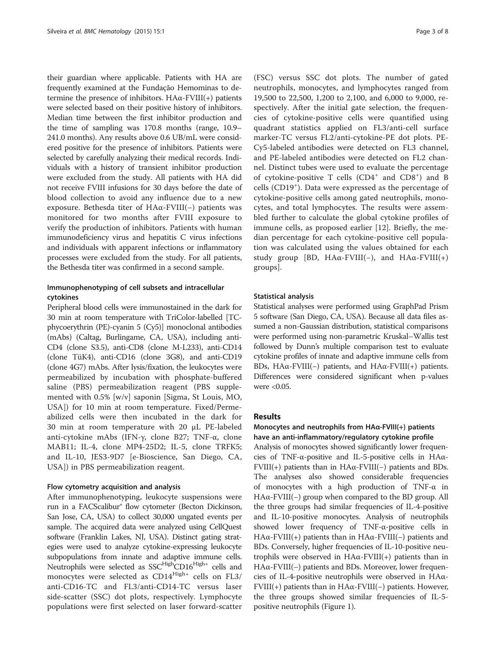their guardian where applicable. Patients with HA are frequently examined at the Fundação Hemominas to determine the presence of inhibitors. HAα-FVIII(+) patients were selected based on their positive history of inhibitors. Median time between the first inhibitor production and the time of sampling was 170.8 months (range, 10.9– 241.0 months). Any results above 0.6 UB/mL were considered positive for the presence of inhibitors. Patients were selected by carefully analyzing their medical records. Individuals with a history of transient inhibitor production were excluded from the study. All patients with HA did not receive FVIII infusions for 30 days before the date of blood collection to avoid any influence due to a new exposure. Bethesda titer of HAα-FVIII(−) patients was monitored for two months after FVIII exposure to verify the production of inhibitors. Patients with human immunodeficiency virus and hepatitis C virus infections and individuals with apparent infections or inflammatory processes were excluded from the study. For all patients, the Bethesda titer was confirmed in a second sample.

### Immunophenotyping of cell subsets and intracellular cytokines

Peripheral blood cells were immunostained in the dark for 30 min at room temperature with TriColor-labelled [TCphycoerythrin (PE)-cyanin 5 (Cy5)] monoclonal antibodies (mAbs) (Caltag, Burlingame, CA, USA), including anti-CD4 (clone S3.5), anti-CD8 (clone M-L233), anti-CD14 (clone TüK4), anti-CD16 (clone 3G8), and anti-CD19 (clone 4G7) mAbs. After lysis/fixation, the leukocytes were permeabilized by incubation with phosphate-buffered saline (PBS) permeabilization reagent (PBS supplemented with 0.5% [w/v] saponin [Sigma, St Louis, MO, USA]) for 10 min at room temperature. Fixed/Permeabilized cells were then incubated in the dark for 30 min at room temperature with 20 μL PE-labeled anti-cytokine mAbs (IFN-γ, clone B27; TNF-α, clone MAB11; IL-4, clone MP4-25D2; IL-5, clone TRFK5; and IL-10, JES3-9D7 [e-Bioscience, San Diego, CA, USA]) in PBS permeabilization reagent.

#### Flow cytometry acquisition and analysis

After immunophenotyping, leukocyte suspensions were run in a FACScalibur® flow cytometer (Becton Dickinson, San Jose, CA, USA) to collect 30,000 ungated events per sample. The acquired data were analyzed using CellQuest software (Franklin Lakes, NJ, USA). Distinct gating strategies were used to analyze cytokine-expressing leukocyte subpopulations from innate and adaptive immune cells. Neutrophils were selected as SSC<sup>High</sup>CD16<sup>High+</sup> cells and monocytes were selected as CD14<sup>High+</sup> cells on FL3/ anti-CD16-TC and FL3/anti-CD14-TC versus laser side-scatter (SSC) dot plots, respectively. Lymphocyte populations were first selected on laser forward-scatter

(FSC) versus SSC dot plots. The number of gated neutrophils, monocytes, and lymphocytes ranged from 19,500 to 22,500, 1,200 to 2,100, and 6,000 to 9,000, respectively. After the initial gate selection, the frequencies of cytokine-positive cells were quantified using quadrant statistics applied on FL3/anti-cell surface marker-TC versus FL2/anti-cytokine-PE dot plots. PE-Cy5-labeled antibodies were detected on FL3 channel, and PE-labeled antibodies were detected on FL2 channel. Distinct tubes were used to evaluate the percentage of cytokine-positive T cells (CD4<sup>+</sup> and CD8<sup>+</sup>) and B cells (CD19<sup>+</sup> ). Data were expressed as the percentage of cytokine-positive cells among gated neutrophils, monocytes, and total lymphocytes. The results were assembled further to calculate the global cytokine profiles of immune cells, as proposed earlier [[12\]](#page-6-0). Briefly, the median percentage for each cytokine-positive cell population was calculated using the values obtained for each study group [BD, HA $\alpha$ -FVIII(−), and HA $\alpha$ -FVIII(+) groups].

#### Statistical analysis

Statistical analyses were performed using GraphPad Prism 5 software (San Diego, CA, USA). Because all data files assumed a non-Gaussian distribution, statistical comparisons were performed using non-parametric Kruskal–Wallis test followed by Dunn's multiple comparison test to evaluate cytokine profiles of innate and adaptive immune cells from BDs, HAα-FVIII(−) patients, and HAα-FVIII(+) patients. Differences were considered significant when p-values were <0.05.

#### Results

## Monocytes and neutrophils from HAα-FVIII(+) patients

have an anti-inflammatory/regulatory cytokine profile Analysis of monocytes showed significantly lower frequencies of TNF-α-positive and IL-5-positive cells in HAα-FVIII(+) patients than in HAα-FVIII(−) patients and BDs. The analyses also showed considerable frequencies of monocytes with a high production of TNF-α in HAα-FVIII(−) group when compared to the BD group. All the three groups had similar frequencies of IL-4-positive and IL-10-positive monocytes. Analysis of neutrophils showed lower frequency of TNF-α-positive cells in HAα-FVIII(+) patients than in HAα-FVIII(−) patients and BDs. Conversely, higher frequencies of IL-10-positive neutrophils were observed in HAα-FVIII(+) patients than in HAα-FVIII(−) patients and BDs. Moreover, lower frequencies of IL-4-positive neutrophils were observed in HAα-FVIII(+) patients than in HAα-FVIII(−) patients. However, the three groups showed similar frequencies of IL-5 positive neutrophils (Figure [1\)](#page-3-0).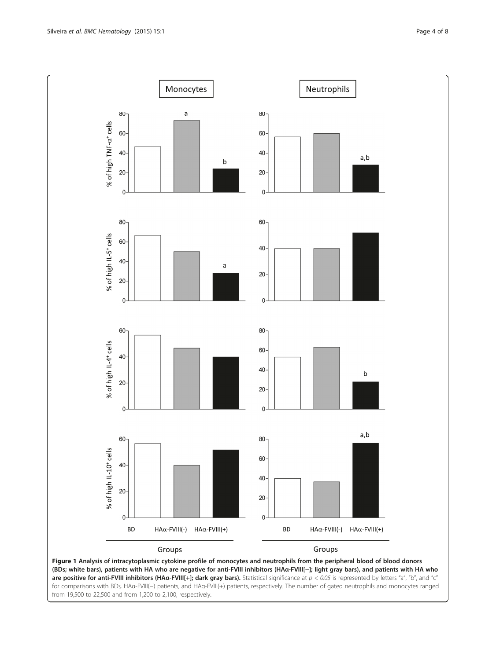<span id="page-3-0"></span>

(BDs; white bars), patients with HA who are negative for anti-FVIII inhibitors (HAα-FVIII[−]; light gray bars), and patients with HA who are positive for anti-FVIII inhibitors (HA $\alpha$ -FVIII[+]; dark gray bars). Statistical significance at  $p < 0.05$  is represented by letters "a", "b", and "c" for comparisons with BDs, HAα-FVIII(−) patients, and HAα-FVIII(+) patients, respectively. The number of gated neutrophils and monocytes ranged from 19,500 to 22,500 and from 1,200 to 2,100, respectively.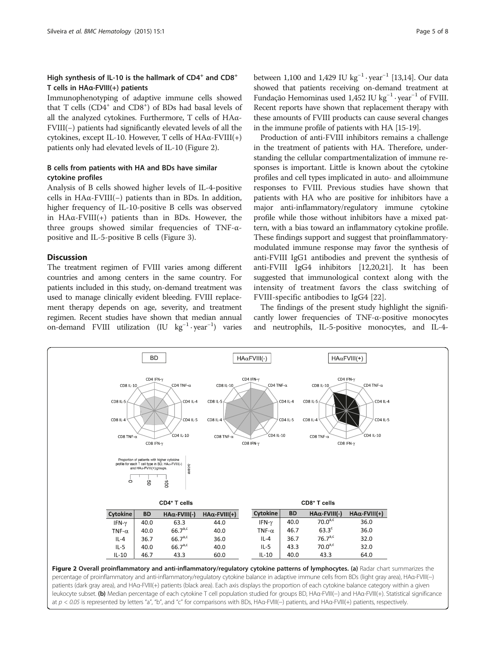## High synthesis of IL-10 is the hallmark of  $CD4^+$  and  $CD8^+$ T cells in HAα-FVIII(+) patients

Immunophenotyping of adaptive immune cells showed that T cells (CD4<sup>+</sup> and CD8<sup>+</sup>) of BDs had basal levels of all the analyzed cytokines. Furthermore, T cells of HAα-FVIII(−) patients had significantly elevated levels of all the cytokines, except IL-10. However, T cells of  $HA\alpha$ -FVIII(+) patients only had elevated levels of IL-10 (Figure 2).

## B cells from patients with HA and BDs have similar cytokine profiles

Analysis of B cells showed higher levels of IL-4-positive cells in HAα-FVIII(−) patients than in BDs. In addition, higher frequency of IL-10-positive B cells was observed in HAα-FVIII(+) patients than in BDs. However, the three groups showed similar frequencies of TNF-αpositive and IL-5-positive B cells (Figure [3](#page-5-0)).

#### **Discussion**

The treatment regimen of FVIII varies among different countries and among centers in the same country. For patients included in this study, on-demand treatment was used to manage clinically evident bleeding. FVIII replacement therapy depends on age, severity, and treatment regimen. Recent studies have shown that median annual on-demand FVIII utilization (IU kg−<sup>1</sup> · year−<sup>1</sup> ) varies

between 1,100 and 1,429 IU  $kg^{-1} \cdot year^{-1}$  [\[13,14](#page-7-0)]. Our data showed that patients receiving on-demand treatment at Fundação Hemominas used 1,452 IU kg<sup>-1</sup> · year<sup>-1</sup> of FVIII. Recent reports have shown that replacement therapy with these amounts of FVIII products can cause several changes in the immune profile of patients with HA [\[15-19](#page-7-0)].

Production of anti-FVIII inhibitors remains a challenge in the treatment of patients with HA. Therefore, understanding the cellular compartmentalization of immune responses is important. Little is known about the cytokine profiles and cell types implicated in auto- and alloimmune responses to FVIII. Previous studies have shown that patients with HA who are positive for inhibitors have a major anti-inflammatory/regulatory immune cytokine profile while those without inhibitors have a mixed pattern, with a bias toward an inflammatory cytokine profile. These findings support and suggest that proinflammatorymodulated immune response may favor the synthesis of anti-FVIII IgG1 antibodies and prevent the synthesis of anti-FVIII IgG4 inhibitors [\[12,](#page-6-0)[20,21](#page-7-0)]. It has been suggested that immunological context along with the intensity of treatment favors the class switching of FVIII-specific antibodies to IgG4 [\[22](#page-7-0)].

The findings of the present study highlight the significantly lower frequencies of TNF-α-positive monocytes and neutrophils, IL-5-positive monocytes, and IL-4-



percentage of proinflammatory and anti-inflammatory/regulatory cytokine balance in adaptive immune cells from BDs (light gray area), HAα-FVIII(-) patients (dark gray area), and HAα-FVIII(+) patients (black area). Each axis displays the proportion of each cytokine balance category within a given leukocyte subset. (b) Median percentage of each cytokine T cell population studied for groups BD, HAα-FVIII(−) and HAα-FVIII(+). Statistical significance at p < 0.05 is represented by letters "a", "b", and "c" for comparisons with BDs, HAα-FVIII(−) patients, and HAα-FVIII(+) patients, respectively.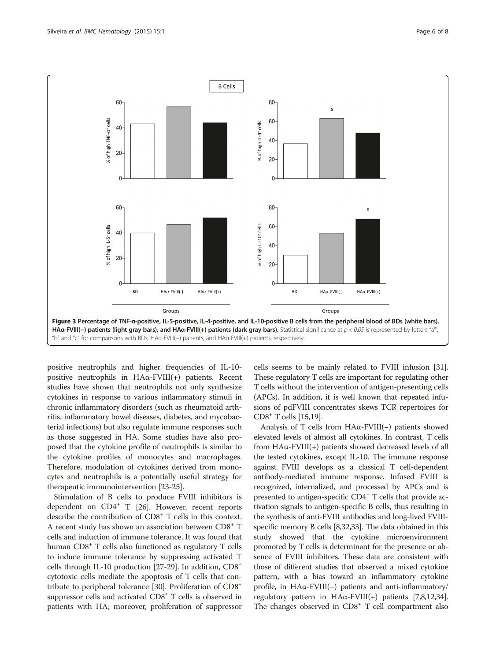<span id="page-5-0"></span>

positive neutrophils and higher frequencies of IL-10 positive neutrophils in HAα-FVIII(+) patients. Recent studies have shown that neutrophils not only synthesize cytokines in response to various inflammatory stimuli in chronic inflammatory disorders (such as rheumatoid arthritis, inflammatory bowel diseases, diabetes, and mycobacterial infections) but also regulate immune responses such as those suggested in HA. Some studies have also proposed that the cytokine profile of neutrophils is similar to the cytokine profiles of monocytes and macrophages. Therefore, modulation of cytokines derived from monocytes and neutrophils is a potentially useful strategy for therapeutic immunointervention [\[23-25](#page-7-0)].

Stimulation of B cells to produce FVIII inhibitors is dependent on CD4<sup>+</sup> T [\[26\]](#page-7-0). However, recent reports describe the contribution of CD8+ T cells in this context. A recent study has shown an association between CD8+ T cells and induction of immune tolerance. It was found that human CD8<sup>+</sup> T cells also functioned as regulatory T cells to induce immune tolerance by suppressing activated T cells through IL-10 production [\[27-29\]](#page-7-0). In addition, CD8+ cytotoxic cells mediate the apoptosis of T cells that contribute to peripheral tolerance [\[30\]](#page-7-0). Proliferation of CD8+ suppressor cells and activated CD8<sup>+</sup> T cells is observed in patients with HA; moreover, proliferation of suppressor

cells seems to be mainly related to FVIII infusion [[31](#page-7-0)]. These regulatory T cells are important for regulating other T cells without the intervention of antigen-presenting cells (APCs). In addition, it is well known that repeated infusions of pdFVIII concentrates skews TCR repertoires for CD8+ T cells [\[15,19\]](#page-7-0).

Analysis of T cells from HAα-FVIII(−) patients showed elevated levels of almost all cytokines. In contrast, T cells from HAα-FVIII(+) patients showed decreased levels of all the tested cytokines, except IL-10. The immune response against FVIII develops as a classical T cell-dependent antibody-mediated immune response. Infused FVIII is recognized, internalized, and processed by APCs and is presented to antigen-specific CD4<sup>+</sup> T cells that provide activation signals to antigen-specific B cells, thus resulting in the synthesis of anti-FVIII antibodies and long-lived FVIIIspecific memory B cells [[8](#page-6-0)[,32,33](#page-7-0)]. The data obtained in this study showed that the cytokine microenvironment promoted by T cells is determinant for the presence or absence of FVIII inhibitors. These data are consistent with those of different studies that observed a mixed cytokine pattern, with a bias toward an inflammatory cytokine profile, in HAα-FVIII(−) patients and anti-inflammatory/ regulatory pattern in  $HAα$ -FVIII(+) patients [\[7,8,12,](#page-6-0)[34](#page-7-0)]. The changes observed in  $CDS<sup>+</sup> T$  cell compartment also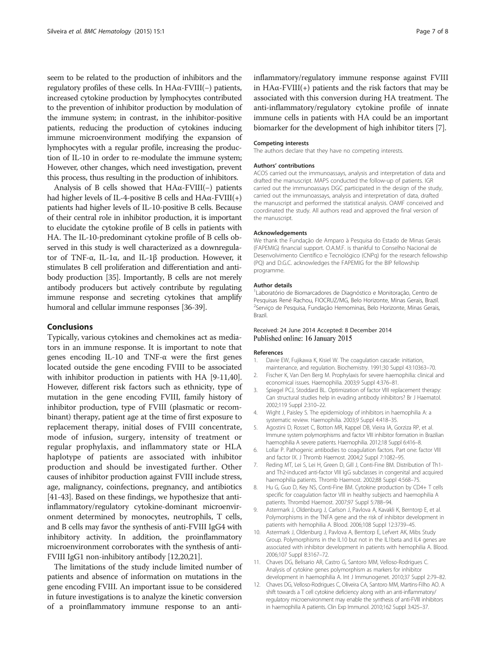<span id="page-6-0"></span>seem to be related to the production of inhibitors and the regulatory profiles of these cells. In HAα-FVIII(−) patients, increased cytokine production by lymphocytes contributed to the prevention of inhibitor production by modulation of the immune system; in contrast, in the inhibitor-positive patients, reducing the production of cytokines inducing immune microenvironment modifying the expansion of lymphocytes with a regular profile, increasing the production of IL-10 in order to re-modulate the immune system; However, other changes, which need investigation, prevent this process, thus resulting in the production of inhibitors.

Analysis of B cells showed that HAα-FVIII(−) patients had higher levels of IL-4-positive B cells and  $HA\alpha$ -FVIII(+) patients had higher levels of IL-10-positive B cells. Because of their central role in inhibitor production, it is important to elucidate the cytokine profile of B cells in patients with HA. The IL-10-predominant cytokine profile of B cells observed in this study is well characterized as a downregulator of TNF-α, IL-1α, and IL-1β production. However, it stimulates B cell proliferation and differentiation and antibody production [\[35\]](#page-7-0). Importantly, B cells are not merely antibody producers but actively contribute by regulating immune response and secreting cytokines that amplify humoral and cellular immune responses [\[36-39\]](#page-7-0).

#### Conclusions

Typically, various cytokines and chemokines act as mediators in an immune response. It is important to note that genes encoding IL-10 and TNF-α were the first genes located outside the gene encoding FVIII to be associated with inhibitor production in patients with HA [9-11,[40](#page-7-0)]. However, different risk factors such as ethnicity, type of mutation in the gene encoding FVIII, family history of inhibitor production, type of FVIII (plasmatic or recombinant) therapy, patient age at the time of first exposure to replacement therapy, initial doses of FVIII concentrate, mode of infusion, surgery, intensity of treatment or regular prophylaxis, and inflammatory state or HLA haplotype of patients are associated with inhibitor production and should be investigated further. Other causes of inhibitor production against FVIII include stress, age, malignancy, coinfections, pregnancy, and antibiotics [[41](#page-7-0)-[43\]](#page-7-0). Based on these findings, we hypothesize that antiinflammatory/regulatory cytokine-dominant microenvironment determined by monocytes, neutrophils, T cells, and B cells may favor the synthesis of anti-FVIII IgG4 with inhibitory activity. In addition, the proinflammatory microenvironment corroborates with the synthesis of anti-FVIII IgG1 non-inhibitory antibody [12[,20,21](#page-7-0)].

The limitations of the study include limited number of patients and absence of information on mutations in the gene encoding FVIII. An important issue to be considered in future investigations is to analyze the kinetic conversion of a proinflammatory immune response to an antiinflammatory/regulatory immune response against FVIII in  $HA\alpha$ -FVIII(+) patients and the risk factors that may be associated with this conversion during HA treatment. The anti-inflammatory/regulatory cytokine profile of innate immune cells in patients with HA could be an important biomarker for the development of high inhibitor titers [7].

#### Competing interests

The authors declare that they have no competing interests.

#### Authors' contributions

ACOS carried out the immunoassays, analysis and interpretation of data and drafted the manuscript. MAPS conducted the follow-up of patients. IGR carried out the immunoassays DGC participated in the design of the study, carried out the immunoassays, analysis and interpretation of data, drafted the manuscript and performed the statistical analysis. OAMF conceived and coordinated the study. All authors read and approved the final version of the manuscript.

#### Acknowledgements

We thank the Fundação de Amparo à Pesquisa do Estado de Minas Gerais (FAPEMIG) financial support. O.A.M.F. is thankful to Conselho Nacional de Desenvolvimento Científico e Tecnológico (CNPq) for the research fellowship (PQ) and D.G.C. acknowledges the FAPEMIG for the BIP fellowship programme.

#### Author details

1 Laboratório de Biomarcadores de Diagnóstico e Monitoração, Centro de Pesquisas René Rachou, FIOCRUZ/MG, Belo Horizonte, Minas Gerais, Brazil. 2 Serviço de Pesquisa, Fundação Hemominas, Belo Horizonte, Minas Gerais, Brazil.

#### Received: 24 June 2014 Accepted: 8 December 2014 Published online: 16 January 2015

#### References

- 1. Davie EW, Fujikawa K, Kisiel W. The coagulation cascade: initiation, maintenance, and regulation. Biochemistry. 1991;30 Suppl 43:10363–70.
- 2. Fischer K, Van Den Berg M. Prophylaxis for severe haemophilia: clinical and economical issues. Haemophilia. 2003;9 Suppl 4:376–81.
- 3. Spiegel PCJ, Stoddard BL. Optimization of factor VIII replacement therapy: Can structural studies help in evading antibody inhibitors? Br J Haematol. 2002;119 Suppl 2:310–22.
- 4. Wight J, Paisley S. The epidemiology of inhibitors in haemophilia A: a systematic review. Haemophilia. 2003;9 Suppl 4:418–35.
- 5. Agostini D, Rosset C, Botton MR, Kappel DB, Vieira IA, Gorziza RP, et al. Immune system polymorphisms and factor VIII inhibitor formation in Brazilian haemophilia A severe patients. Haemophilia. 2012;18 Suppl 6:416–8.
- 6. Lollar P. Pathogenic antibodies to coagulation factors. Part one: factor VIII and factor IX. J Thromb Haemost. 2004;2 Suppl 7:1082–95.
- 7. Reding MT, Lei S, Lei H, Green D, Gill J, Conti-Fine BM. Distribution of Th1 and Th2-induced anti-factor VIII IgG subclasses in congenital and acquired haemophilia patients. Thromb Haemost. 2002;88 Suppl 4:568–75.
- Hu G, Guo D, Key NS, Conti-Fine BM. Cytokine production by CD4+ T cells specific for coagulation factor VIII in healthy subjects and haemophilia A patients. Thrombd Haemost. 2007;97 Suppl 5:788–94.
- 9. Astermark J, Oldenburg J, Carlson J, Pavlova A, Kavakli K, Berntorp E, et al. Polymorphisms in the TNFA gene and the risk of inhibitor development in patients with hemophilia A. Blood. 2006;108 Suppl 12:3739–45.
- 10. Astermark J, Oldenburg J, Pavlova A, Berntorp E, Lefvert AK, Mibs Study Group. Polymorphisms in the IL10 but not in the IL1beta and IL4 genes are associated with inhibitor development in patients with hemophilia A. Blood. 2006;107 Suppl 8:3167–72.
- 11. Chaves DG, Belisario AR, Castro G, Santoro MM, Velloso-Rodrigues C. Analysis of cytokine genes polymorphism as markers for inhibitor development in haemophilia A. Int J Immunogenet. 2010;37 Suppl 2:79–82.
- 12. Chaves DG, Velloso-Rodrigues C, Oliveira CA, Santoro MM, Martins-Filho AO. A shift towards a T cell cytokine deficiency along with an anti-inflammatory/ regulatory microenvironment may enable the synthesis of anti-FVIII inhibitors in haemophilia A patients. Clin Exp Immunol. 2010;162 Suppl 3:425–37.